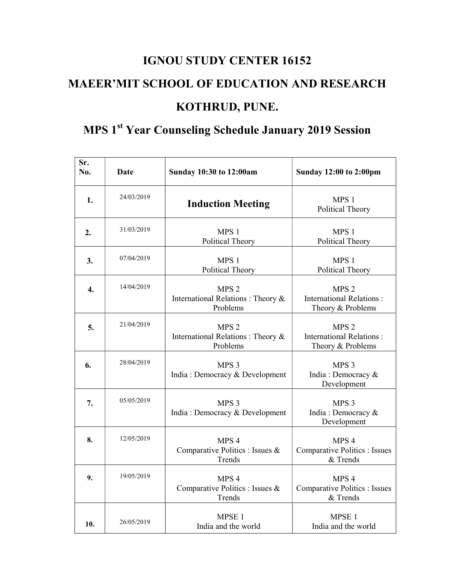## IGNOU STUDY CENTER 16152 MAEER'MIT SCHOOL OF EDUCATION AND RESEARCH KOTHRUD, PUNE.

## MPS 1<sup>st</sup> Year Counseling Schedule January 2019 Session

| Sr.<br>No.       | <b>Date</b> | Sunday 10:30 to 12:00am                                            | <b>Sunday 12:00 to 2:00pm</b>                                            |
|------------------|-------------|--------------------------------------------------------------------|--------------------------------------------------------------------------|
| 1.               | 24/03/2019  | <b>Induction Meeting</b>                                           | MPS 1<br>Political Theory                                                |
| 2.               | 31/03/2019  | MPS 1<br><b>Political Theory</b>                                   | MPS 1<br><b>Political Theory</b>                                         |
| 3.               | 07/04/2019  | MPS 1<br><b>Political Theory</b>                                   | MPS 1<br><b>Political Theory</b>                                         |
| $\overline{4}$ . | 14/04/2019  | MPS <sub>2</sub><br>International Relations : Theory &<br>Problems | MPS <sub>2</sub><br><b>International Relations:</b><br>Theory & Problems |
| 5.               | 21/04/2019  | MPS <sub>2</sub><br>International Relations: Theory &<br>Problems  | MPS <sub>2</sub><br><b>International Relations:</b><br>Theory & Problems |
| 6.               | 28/04/2019  | MPS <sub>3</sub><br>India: Democracy & Development                 | MPS <sub>3</sub><br>India: Democracy &<br>Development                    |
| 7.               | 05/05/2019  | MPS <sub>3</sub><br>India: Democracy & Development                 | MPS <sub>3</sub><br>India: Democracy &<br>Development                    |
| 8.               | 12/05/2019  | MPS 4<br>Comparative Politics : Issues &<br>Trends                 | MPS <sub>4</sub><br><b>Comparative Politics : Issues</b><br>& Trends     |
| 9.               | 19/05/2019  | MPS 4<br>Comparative Politics : Issues &<br>Trends                 | MPS <sub>4</sub><br><b>Comparative Politics : Issues</b><br>& Trends     |
| 10.              | 26/05/2019  | MPSE <sub>1</sub><br>India and the world                           | MPSE <sub>1</sub><br>India and the world                                 |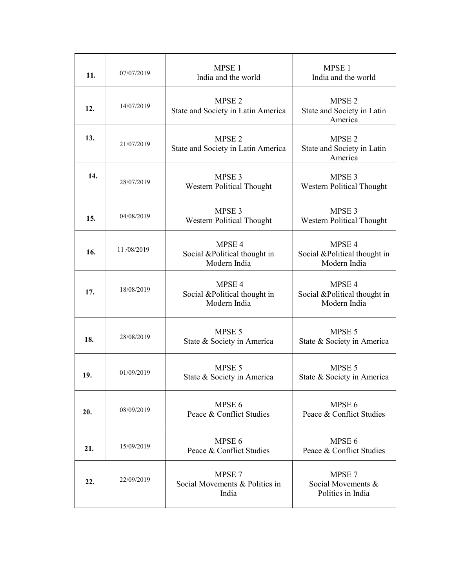| 11. | 07/07/2019 | MPSE <sub>1</sub><br>India and the world                          | MPSE <sub>1</sub><br>India and the world                          |
|-----|------------|-------------------------------------------------------------------|-------------------------------------------------------------------|
| 12. | 14/07/2019 | MPSE <sub>2</sub><br>State and Society in Latin America           | MPSE <sub>2</sub><br>State and Society in Latin<br>America        |
| 13. | 21/07/2019 | MPSE <sub>2</sub><br>State and Society in Latin America           | MPSE <sub>2</sub><br>State and Society in Latin<br>America        |
| 14. | 28/07/2019 | MPSE <sub>3</sub><br>Western Political Thought                    | MPSE <sub>3</sub><br>Western Political Thought                    |
| 15. | 04/08/2019 | MPSE <sub>3</sub><br>Western Political Thought                    | MPSE <sub>3</sub><br>Western Political Thought                    |
| 16. | 11/08/2019 | MPSE <sub>4</sub><br>Social &Political thought in<br>Modern India | MPSE 4<br>Social &Political thought in<br>Modern India            |
| 17. | 18/08/2019 | MPSE <sub>4</sub><br>Social &Political thought in<br>Modern India | MPSE <sub>4</sub><br>Social &Political thought in<br>Modern India |
| 18. | 28/08/2019 | MPSE 5<br>State & Society in America                              | MPSE 5<br>State & Society in America                              |
| 19. | 01/09/2019 | MPSE 5<br>State & Society in America                              | MPSE 5<br>State & Society in America                              |
| 20. | 08/09/2019 | MPSE 6<br>Peace & Conflict Studies                                | MPSE 6<br>Peace & Conflict Studies                                |
| 21. | 15/09/2019 | MPSE 6<br>Peace & Conflict Studies                                | MPSE 6<br>Peace & Conflict Studies                                |
| 22. | 22/09/2019 | MPSE 7<br>Social Movements & Politics in<br>India                 | MPSE <sub>7</sub><br>Social Movements &<br>Politics in India      |